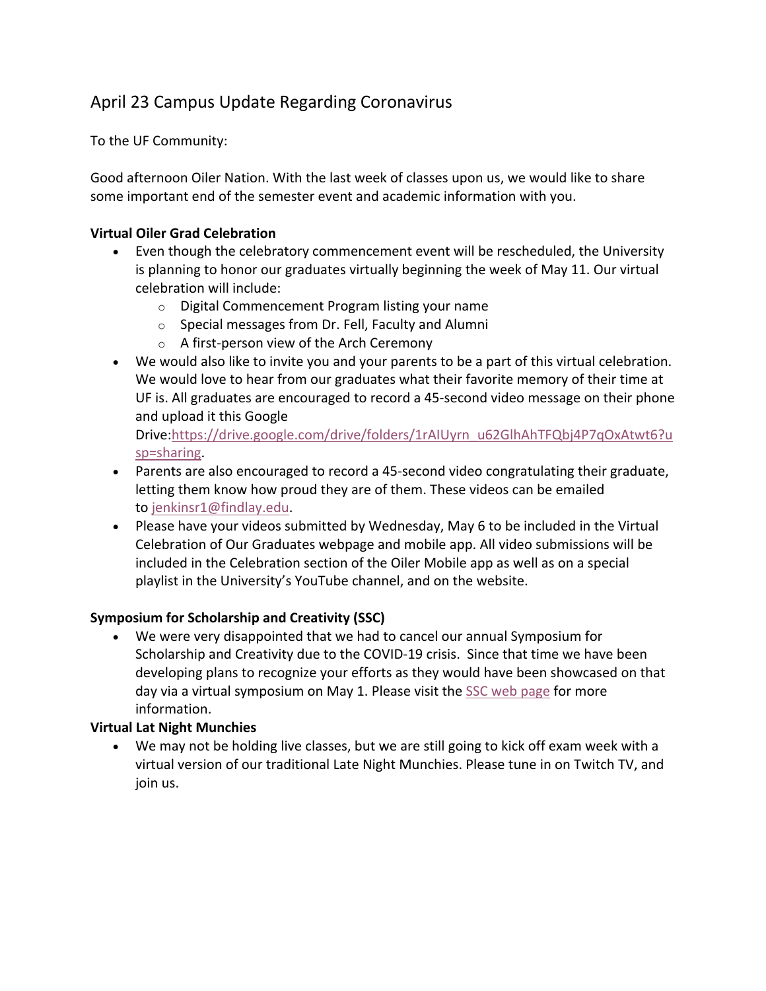### April 23 Campus Update Regarding Coronavirus

To the UF Community:

Good afternoon Oiler Nation. With the last week of classes upon us, we would like to share some important end of the semester event and academic information with you.

#### **Virtual Oiler Grad Celebration**

- Even though the celebratory commencement event will be rescheduled, the University is planning to honor our graduates virtually beginning the week of May 11. Our virtual celebration will include:
	- o Digital Commencement Program listing your name
	- o Special messages from Dr. Fell, Faculty and Alumni
	- o A first-person view of the Arch Ceremony
- We would also like to invite you and your parents to be a part of this virtual celebration. We would love to hear from our graduates what their favorite memory of their time at UF is. All graduates are encouraged to record a 45-second video message on their phone and upload it this Google

Drive:https://drive.google.com/drive/folders/1rAIUyrn\_u62GlhAhTFQbj4P7qOxAtwt6?u sp=sharing.

- Parents are also encouraged to record a 45-second video congratulating their graduate, letting them know how proud they are of them. These videos can be emailed to jenkinsr1@findlay.edu.
- Please have your videos submitted by Wednesday, May 6 to be included in the Virtual Celebration of Our Graduates webpage and mobile app. All video submissions will be included in the Celebration section of the Oiler Mobile app as well as on a special playlist in the University's YouTube channel, and on the website.

#### **Symposium for Scholarship and Creativity (SSC)**

• We were very disappointed that we had to cancel our annual Symposium for Scholarship and Creativity due to the COVID-19 crisis. Since that time we have been developing plans to recognize your efforts as they would have been showcased on that day via a virtual symposium on May 1. Please visit the SSC web page for more information.

#### **Virtual Lat Night Munchies**

• We may not be holding live classes, but we are still going to kick off exam week with a virtual version of our traditional Late Night Munchies. Please tune in on Twitch TV, and join us.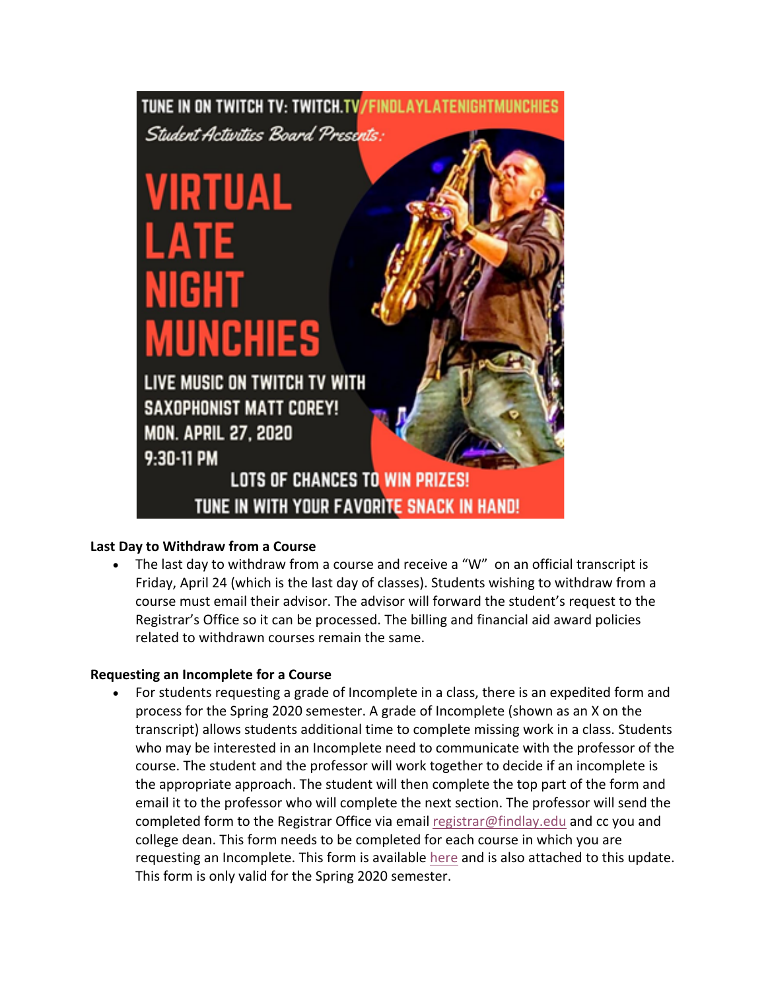## TUNE IN ON TWITCH TV: TWITCH.TV/FINDLAYLATENIGHTMUNCHIES

Student Activities Board Presents:

# VIRTUAL ATE NIGHT **MUNCHIES**

LIVE MUSIC ON TWITCH TV WITH **SAXOPHONIST MATT COREY! MON. APRIL 27, 2020** 9:30-11 PM

## **LOTS OF CHANCES TO WIN PRIZES!** TUNE IN WITH YOUR FAVORITE SNACK IN HAND!

#### **Last Day to Withdraw from a Course**

• The last day to withdraw from a course and receive a "W" on an official transcript is Friday, April 24 (which is the last day of classes). Students wishing to withdraw from a course must email their advisor. The advisor will forward the student's request to the Registrar's Office so it can be processed. The billing and financial aid award policies related to withdrawn courses remain the same.

#### **Requesting an Incomplete for a Course**

• For students requesting a grade of Incomplete in a class, there is an expedited form and process for the Spring 2020 semester. A grade of Incomplete (shown as an X on the transcript) allows students additional time to complete missing work in a class. Students who may be interested in an Incomplete need to communicate with the professor of the course. The student and the professor will work together to decide if an incomplete is the appropriate approach. The student will then complete the top part of the form and email it to the professor who will complete the next section. The professor will send the completed form to the Registrar Office via email registrar@findlay.edu and cc you and college dean. This form needs to be completed for each course in which you are requesting an Incomplete. This form is available here and is also attached to this update. This form is only valid for the Spring 2020 semester.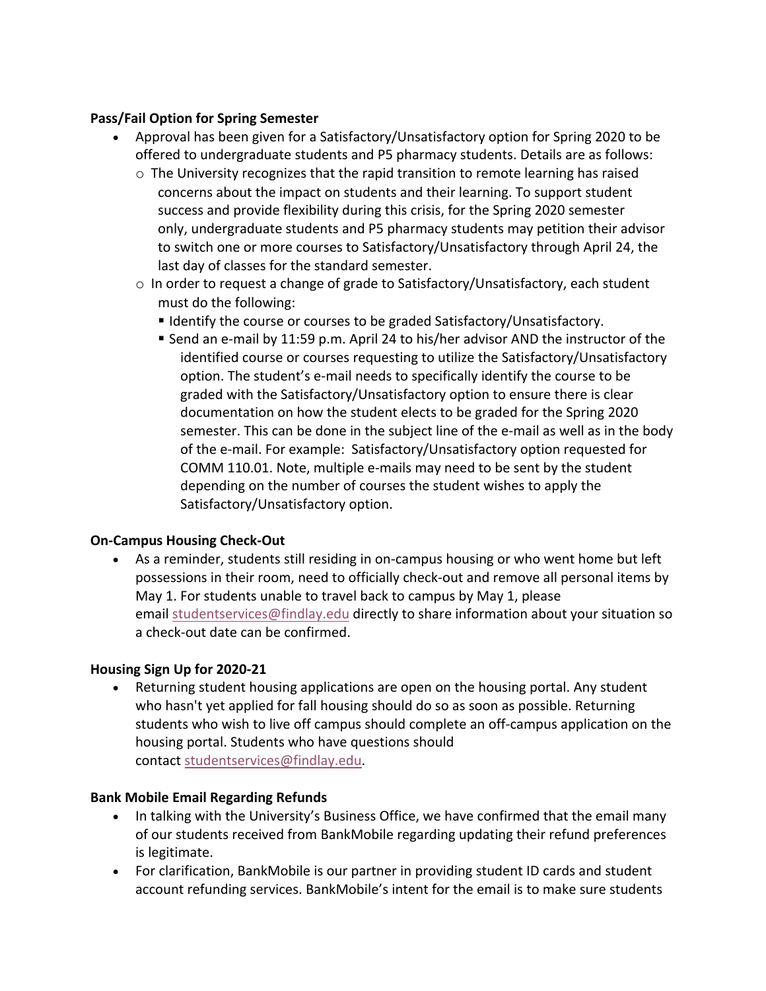#### **Pass/Fail Option for Spring Semester**

- Approval has been given for a Satisfactory/Unsatisfactory option for Spring 2020 to be offered to undergraduate students and P5 pharmacy students. Details are as follows:
	- $\circ$  The University recognizes that the rapid transition to remote learning has raised concerns about the impact on students and their learning. To support student success and provide flexibility during this crisis, for the Spring 2020 semester only, undergraduate students and P5 pharmacy students may petition their advisor to switch one or more courses to Satisfactory/Unsatisfactory through April 24, the last day of classes for the standard semester.
	- $\circ$  In order to request a change of grade to Satisfactory/Unsatisfactory, each student must do the following:
		- Identify the course or courses to be graded Satisfactory/Unsatisfactory.
		- Send an e-mail by 11:59 p.m. April 24 to his/her advisor AND the instructor of the identified course or courses requesting to utilize the Satisfactory/Unsatisfactory option. The student's e-mail needs to specifically identify the course to be graded with the Satisfactory/Unsatisfactory option to ensure there is clear documentation on how the student elects to be graded for the Spring 2020 semester. This can be done in the subject line of the e-mail as well as in the body of the e-mail. For example: Satisfactory/Unsatisfactory option requested for COMM 110.01. Note, multiple e-mails may need to be sent by the student depending on the number of courses the student wishes to apply the Satisfactory/Unsatisfactory option.

#### **On-Campus Housing Check-Out**

• As a reminder, students still residing in on-campus housing or who went home but left possessions in their room, need to officially check-out and remove all personal items by May 1. For students unable to travel back to campus by May 1, please email studentservices@findlay.edu directly to share information about your situation so a check-out date can be confirmed.

#### **Housing Sign Up for 2020-21**

• Returning student housing applications are open on the housing portal. Any student who hasn't yet applied for fall housing should do so as soon as possible. Returning students who wish to live off campus should complete an off-campus application on the housing portal. Students who have questions should contact studentservices@findlay.edu.

#### **Bank Mobile Email Regarding Refunds**

- In talking with the University's Business Office, we have confirmed that the email many of our students received from BankMobile regarding updating their refund preferences is legitimate.
- For clarification, BankMobile is our partner in providing student ID cards and student account refunding services. BankMobile's intent for the email is to make sure students